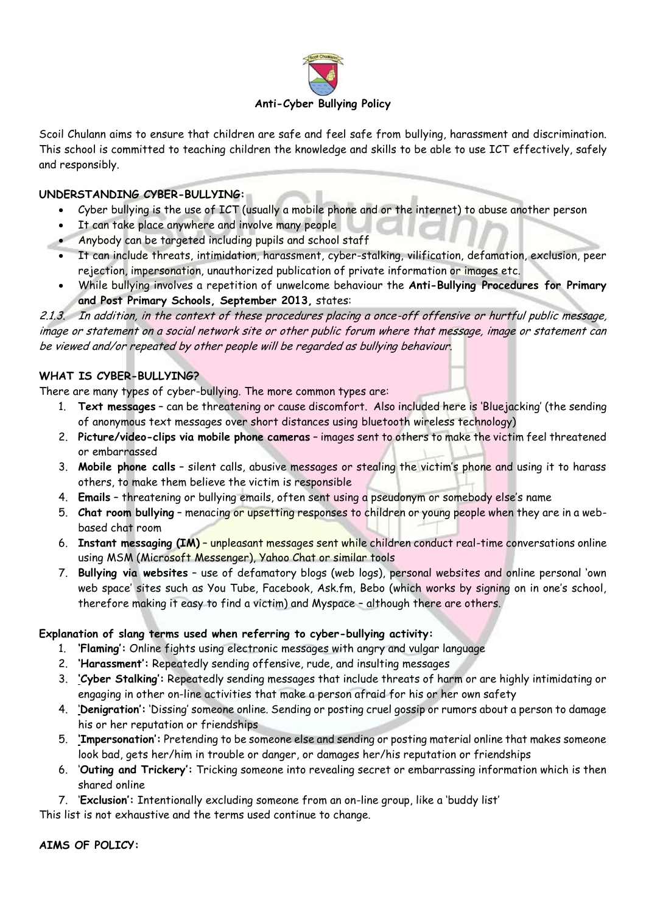

Scoil Chulann aims to ensure that children are safe and feel safe from bullying, harassment and discrimination. This school is committed to teaching children the knowledge and skills to be able to use ICT effectively, safely and responsibly.

# **UNDERSTANDING CYBER-BULLYING:**

- Cyber bullying is the use of ICT (usually a mobile phone and or the internet) to abuse another person
- It can take place anywhere and involve many people
- Anybody can be targeted including pupils and school staff
- It can include threats, intimidation, harassment, cyber-stalking, vilification, defamation, exclusion, peer rejection, impersonation, unauthorized publication of private information or images etc.
- While bullying involves a repetition of unwelcome behaviour the **Anti-Bullying Procedures for Primary and Post Primary Schools, September 2013,** states:

2.1.3. In addition, in the context of these procedures placing a once-off offensive or hurtful public message, image or statement on a social network site or other public forum where that message, image or statement can be viewed and/or repeated by other people will be regarded as bullying behaviour.

# **WHAT IS CYBER-BULLYING?**

There are many types of cyber-bullying. The more common types are:

- 1. **Text messages** can be threatening or cause discomfort. Also included here is 'Bluejacking' (the sending of anonymous text messages over short distances using bluetooth wireless technology)
- 2. **Picture/video-clips via mobile phone cameras** images sent to others to make the victim feel threatened or embarrassed
- 3. **Mobile phone calls** silent calls, abusive messages or stealing the victim's phone and using it to harass others, to make them believe the victim is responsible
- 4. **Emails** threatening or bullying emails, often sent using a pseudonym or somebody else's name
- 5. **Chat room bullying** menacing or upsetting responses to children or young people when they are in a webbased chat room
- 6. **Instant messaging (IM)** unpleasant messages sent while children conduct real-time conversations online using MSM (Microsoft Messenger), Yahoo Chat or similar tools
- 7. **Bullying via websites** use of defamatory blogs (web logs), personal websites and online personal 'own web space' sites such as You Tube, Facebook, Ask.fm, Bebo (which works by signing on in one's school, therefore making it easy to find a victim) and Myspace – although there are others.

#### **Explanation of slang terms used when referring to cyber-bullying activity:**

- 1. **'Flaming':** Online fights using electronic messages with angry and vulgar language
- 2. **'Harassment':** Repeatedly sending offensive, rude, and insulting messages
- 3. **'Cyber Stalking':** Repeatedly sending messages that include threats of harm or are highly intimidating or engaging in other on-line activities that make a person afraid for his or her own safety
- 4. '**Denigration':** 'Dissing' someone online. Sending or posting cruel gossip or rumors about a person to damage his or her reputation or friendships
- 5. **'Impersonation':** Pretending to be someone else and sending or posting material online that makes someone look bad, gets her/him in trouble or danger, or damages her/his reputation or friendships
- 6. '**Outing and Trickery':** Tricking someone into revealing secret or embarrassing information which is then shared online
- 7. '**Exclusion':** Intentionally excluding someone from an on-line group, like a 'buddy list'

This list is not exhaustive and the terms used continue to change.

**AIMS OF POLICY:**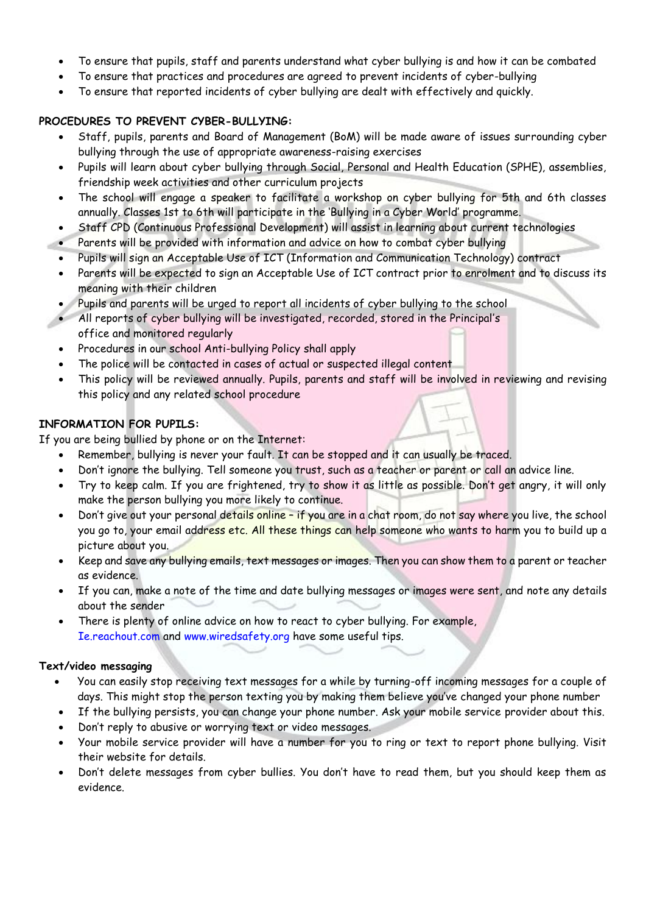- To ensure that pupils, staff and parents understand what cyber bullying is and how it can be combated
- To ensure that practices and procedures are agreed to prevent incidents of cyber-bullying
- To ensure that reported incidents of cyber bullying are dealt with effectively and quickly.

# **PROCEDURES TO PREVENT CYBER-BULLYING:**

- Staff, pupils, parents and Board of Management (BoM) will be made aware of issues surrounding cyber bullying through the use of appropriate awareness-raising exercises
- Pupils will learn about cyber bullying through Social, Personal and Health Education (SPHE), assemblies, friendship week activities and other curriculum projects
- The school will engage a speaker to facilitate a workshop on cyber bullying for 5th and 6th classes annually. Classes 1st to 6th will participate in the 'Bullying in a Cyber World' programme.
- Staff CPD (Continuous Professional Development) will assist in learning about current technologies
- Parents will be provided with information and advice on how to combat cyber bullying
- Pupils will sign an Acceptable Use of ICT (Information and Communication Technology) contract
- Parents will be expected to sign an Acceptable Use of ICT contract prior to enrolment and to discuss its meaning with their children
- Pupils and parents will be urged to report all incidents of cyber bullying to the school
- All reports of cyber bullying will be investigated, recorded, stored in the Principal's office and monitored regularly
- Procedures in our school Anti-bullying Policy shall apply
- The police will be contacted in cases of actual or suspected illegal content
- This policy will be reviewed annually. Pupils, parents and staff will be involved in reviewing and revising this policy and any related school procedure

# **INFORMATION FOR PUPILS:**

If you are being bullied by phone or on the Internet:

- Remember, bullying is never your fault. It can be stopped and it can usually be traced.
- Don't ignore the bullying. Tell someone you trust, such as a teacher or parent or call an advice line.
- Try to keep calm. If you are frightened, try to show it as little as possible. Don't get angry, it will only make the person bullying you more likely to continue.
- Don't give out your personal details online if you are in a chat room, do not say where you live, the school you go to, your email address etc. All these things can help someone who wants to harm you to build up a picture about you.
- Keep and save any bullying emails, text messages or images. Then you can show them to a parent or teacher as evidence.
- If you can, make a note of the time and date bullying messages or images were sent, and note any details about the sender
- There is plenty of online advice on how to react to cyber bullying. For example, Ie.reachout.com and www.wiredsafety.org have some useful tips.

#### **Text/video messaging**

- You can easily stop receiving text messages for a while by turning-off incoming messages for a couple of days. This might stop the person texting you by making them believe you've changed your phone number
- If the bullying persists, you can change your phone number. Ask your mobile service provider about this.
- Don't reply to abusive or worrying text or video messages.
- Your mobile service provider will have a number for you to ring or text to report phone bullying. Visit their website for details.
- Don't delete messages from cyber bullies. You don't have to read them, but you should keep them as evidence.